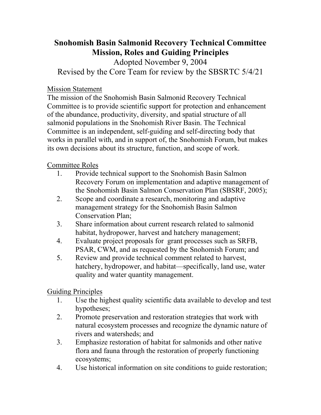## **Snohomish Basin Salmonid Recovery Technical Committee Mission, Roles and Guiding Principles**

Adopted November 9, 2004 Revised by the Core Team for review by the SBSRTC 5/4/21

Mission Statement

The mission of the Snohomish Basin Salmonid Recovery Technical Committee is to provide scientific support for protection and enhancement of the abundance, productivity, diversity, and spatial structure of all salmonid populations in the Snohomish River Basin. The Technical Committee is an independent, self-guiding and self-directing body that works in parallel with, and in support of, the Snohomish Forum, but makes its own decisions about its structure, function, and scope of work.

Committee Roles

- 1. Provide technical support to the Snohomish Basin Salmon Recovery Forum on implementation and adaptive management of the Snohomish Basin Salmon Conservation Plan (SBSRF, 2005);
- 2. Scope and coordinate a research, monitoring and adaptive management strategy for the Snohomish Basin Salmon Conservation Plan;
- 3. Share information about current research related to salmonid habitat, hydropower, harvest and hatchery management;
- 4. Evaluate project proposals for grant processes such as SRFB, PSAR, CWM, and as requested by the Snohomish Forum; and
- 5. Review and provide technical comment related to harvest, hatchery, hydropower, and habitat—specifically, land use, water quality and water quantity management.

Guiding Principles

- 1. Use the highest quality scientific data available to develop and test hypotheses;
- 2. Promote preservation and restoration strategies that work with natural ecosystem processes and recognize the dynamic nature of rivers and watersheds; and
- 3. Emphasize restoration of habitat for salmonids and other native flora and fauna through the restoration of properly functioning ecosystems;
- 4. Use historical information on site conditions to guide restoration;